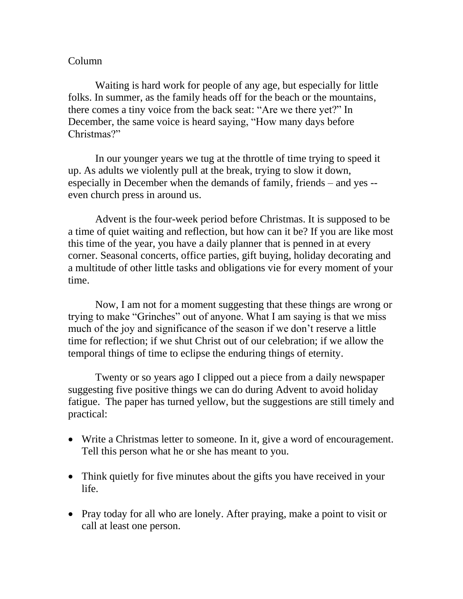## Column

Waiting is hard work for people of any age, but especially for little folks. In summer, as the family heads off for the beach or the mountains, there comes a tiny voice from the back seat: "Are we there yet?" In December, the same voice is heard saying, "How many days before Christmas?"

In our younger years we tug at the throttle of time trying to speed it up. As adults we violently pull at the break, trying to slow it down, especially in December when the demands of family, friends – and yes - even church press in around us.

Advent is the four-week period before Christmas. It is supposed to be a time of quiet waiting and reflection, but how can it be? If you are like most this time of the year, you have a daily planner that is penned in at every corner. Seasonal concerts, office parties, gift buying, holiday decorating and a multitude of other little tasks and obligations vie for every moment of your time.

Now, I am not for a moment suggesting that these things are wrong or trying to make "Grinches" out of anyone. What I am saying is that we miss much of the joy and significance of the season if we don't reserve a little time for reflection; if we shut Christ out of our celebration; if we allow the temporal things of time to eclipse the enduring things of eternity.

Twenty or so years ago I clipped out a piece from a daily newspaper suggesting five positive things we can do during Advent to avoid holiday fatigue. The paper has turned yellow, but the suggestions are still timely and practical:

- Write a Christmas letter to someone. In it, give a word of encouragement. Tell this person what he or she has meant to you.
- Think quietly for five minutes about the gifts you have received in your life.
- Pray today for all who are lonely. After praying, make a point to visit or call at least one person.